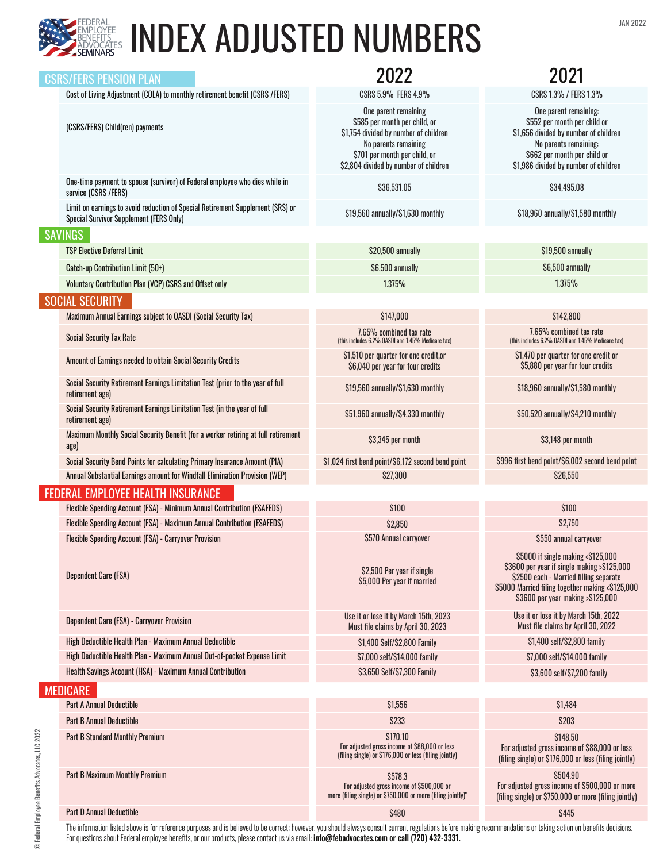

## EDERAL **INDEX ADJUSTED NUMBERS**

|                                   | <b>CSRS/FERS PENSION PLAN</b>                                                                                                    |                                                                                                                                                                                                  | 2021                                                                                                                                                                                                                 |  |  |
|-----------------------------------|----------------------------------------------------------------------------------------------------------------------------------|--------------------------------------------------------------------------------------------------------------------------------------------------------------------------------------------------|----------------------------------------------------------------------------------------------------------------------------------------------------------------------------------------------------------------------|--|--|
|                                   | Cost of Living Adjustment (COLA) to monthly retirement benefit (CSRS /FERS)                                                      | CSRS 5.9% FERS 4.9%                                                                                                                                                                              | CSRS 1.3% / FERS 1.3%                                                                                                                                                                                                |  |  |
|                                   | (CSRS/FERS) Child(ren) payments                                                                                                  | One parent remaining<br>\$585 per month per child, or<br>\$1,754 divided by number of children<br>No parents remaining<br>\$701 per month per child, or<br>\$2,804 divided by number of children | One parent remaining:<br>\$552 per month per child or<br>\$1,656 divided by number of children<br>No parents remaining:<br>\$662 per month per child or<br>\$1,986 divided by number of children                     |  |  |
|                                   | One-time payment to spouse (survivor) of Federal employee who dies while in<br>service (CSRS /FERS)                              | \$36,531.05                                                                                                                                                                                      | \$34,495.08                                                                                                                                                                                                          |  |  |
|                                   | Limit on earnings to avoid reduction of Special Retirement Supplement (SRS) or<br><b>Special Survivor Supplement (FERS Only)</b> | \$19,560 annually/\$1,630 monthly                                                                                                                                                                | \$18,960 annually/\$1,580 monthly                                                                                                                                                                                    |  |  |
|                                   | <b>SAVINGS</b>                                                                                                                   |                                                                                                                                                                                                  |                                                                                                                                                                                                                      |  |  |
|                                   | <b>TSP Elective Deferral Limit</b>                                                                                               | \$20,500 annually                                                                                                                                                                                | \$19,500 annually                                                                                                                                                                                                    |  |  |
|                                   | Catch-up Contribution Limit (50+)                                                                                                | \$6,500 annually                                                                                                                                                                                 | \$6,500 annually                                                                                                                                                                                                     |  |  |
|                                   | Voluntary Contribution Plan (VCP) CSRS and Offset only                                                                           | 1.375%                                                                                                                                                                                           | 1.375%                                                                                                                                                                                                               |  |  |
|                                   | <b>SOCIAL SECURITY</b>                                                                                                           |                                                                                                                                                                                                  |                                                                                                                                                                                                                      |  |  |
|                                   | Maximum Annual Earnings subject to OASDI (Social Security Tax)                                                                   | \$147,000                                                                                                                                                                                        | \$142,800                                                                                                                                                                                                            |  |  |
|                                   | <b>Social Security Tax Rate</b>                                                                                                  | 7.65% combined tax rate<br>(this includes 6.2% OASDI and 1.45% Medicare tax)                                                                                                                     | 7.65% combined tax rate<br>(this includes 6.2% OASDI and 1.45% Medicare tax)                                                                                                                                         |  |  |
|                                   | Amount of Earnings needed to obtain Social Security Credits                                                                      | \$1,510 per quarter for one credit,or<br>\$6,040 per year for four credits                                                                                                                       | \$1,470 per quarter for one credit or<br>\$5,880 per year for four credits                                                                                                                                           |  |  |
|                                   | Social Security Retirement Earnings Limitation Test (prior to the year of full<br>retirement age)                                | \$19,560 annually/\$1,630 monthly                                                                                                                                                                | \$18,960 annually/\$1,580 monthly                                                                                                                                                                                    |  |  |
|                                   | Social Security Retirement Earnings Limitation Test (in the year of full<br>retirement age)                                      | \$51,960 annually/\$4,330 monthly                                                                                                                                                                | \$50,520 annually/\$4,210 monthly                                                                                                                                                                                    |  |  |
|                                   | Maximum Monthly Social Security Benefit (for a worker retiring at full retirement<br>age)                                        | \$3,345 per month                                                                                                                                                                                | \$3,148 per month                                                                                                                                                                                                    |  |  |
|                                   | Social Security Bend Points for calculating Primary Insurance Amount (PIA)                                                       | \$1,024 first bend point/\$6,172 second bend point                                                                                                                                               | \$996 first bend point/\$6,002 second bend point                                                                                                                                                                     |  |  |
|                                   | Annual Substantial Earnings amount for Windfall Elimination Provision (WEP)                                                      | \$27,300                                                                                                                                                                                         | \$26,550                                                                                                                                                                                                             |  |  |
| FEDERAL EMPLOYEE HEALTH INSURANCE |                                                                                                                                  |                                                                                                                                                                                                  |                                                                                                                                                                                                                      |  |  |
|                                   | Flexible Spending Account (FSA) - Minimum Annual Contribution (FSAFEDS)                                                          | \$100                                                                                                                                                                                            | \$100                                                                                                                                                                                                                |  |  |
|                                   | Flexible Spending Account (FSA) - Maximum Annual Contribution (FSAFEDS)                                                          | \$2,850                                                                                                                                                                                          | \$2,750                                                                                                                                                                                                              |  |  |
|                                   | Flexible Spending Account (FSA) - Carryover Provision                                                                            | \$570 Annual carryover                                                                                                                                                                           | \$550 annual carryover                                                                                                                                                                                               |  |  |
|                                   | <b>Dependent Care (FSA)</b>                                                                                                      | \$2,500 Per year if single<br>\$5,000 Per year if married                                                                                                                                        | \$5000 if single making <\$125,000<br>\$3600 per year if single making >\$125,000<br>\$2500 each - Married filling separate<br>\$5000 Married filing together making <\$125,000<br>\$3600 per year making >\$125,000 |  |  |
|                                   | <b>Dependent Care (FSA) - Carryover Provision</b>                                                                                | Use it or lose it by March 15th, 2023<br>Must file claims by April 30, 2023                                                                                                                      | Use it or lose it by March 15th, 2022<br>Must file claims by April 30, 2022                                                                                                                                          |  |  |
|                                   | High Deductible Health Plan - Maximum Annual Deductible                                                                          | \$1,400 Self/\$2,800 Family                                                                                                                                                                      | \$1,400 self/\$2,800 family                                                                                                                                                                                          |  |  |
|                                   | High Deductible Health Plan - Maximum Annual Out-of-pocket Expense Limit                                                         | \$7,000 self/\$14,000 family                                                                                                                                                                     | \$7,000 self/\$14,000 family                                                                                                                                                                                         |  |  |
|                                   | Health Savings Account (HSA) - Maximum Annual Contribution                                                                       | \$3,650 Self/\$7,300 Family                                                                                                                                                                      | \$3,600 self/\$7,200 family                                                                                                                                                                                          |  |  |
|                                   | <b>MEDICARE</b>                                                                                                                  |                                                                                                                                                                                                  |                                                                                                                                                                                                                      |  |  |
|                                   | <b>Part A Annual Deductible</b>                                                                                                  | \$1,556                                                                                                                                                                                          | \$1,484                                                                                                                                                                                                              |  |  |
|                                   | <b>Part B Annual Deductible</b>                                                                                                  | \$233                                                                                                                                                                                            | \$203                                                                                                                                                                                                                |  |  |
|                                   | <b>Part B Standard Monthly Premium</b>                                                                                           | \$170.10<br>For adjusted gross income of \$88,000 or less<br>(filing single) or \$176,000 or less (filing jointly)                                                                               | \$148,50<br>For adjusted gross income of \$88,000 or less<br>(filing single) or \$176,000 or less (filing jointly)                                                                                                   |  |  |
|                                   | <b>Part B Maximum Monthly Premium</b>                                                                                            | \$578.3<br>For adjusted gross income of \$500,000 or<br>more (filing single) or \$750,000 or more (filing jointly)"                                                                              | \$504.90<br>For adjusted gross income of \$500,000 or more<br>(filing single) or \$750,000 or more (filing jointly)                                                                                                  |  |  |
|                                   | <b>Part D Annual Deductible</b>                                                                                                  | <b>\$480</b>                                                                                                                                                                                     | \$445                                                                                                                                                                                                                |  |  |
|                                   |                                                                                                                                  |                                                                                                                                                                                                  |                                                                                                                                                                                                                      |  |  |

The information listed above is for reference purposes and is believed to be correct; however, you should always consult current regulations before making recommendations or taking action on benefits decisions. For questions about Federal employee benefits, or our products, please contact us via email: **info@febadvocates.com or call (720) 432-3331.**